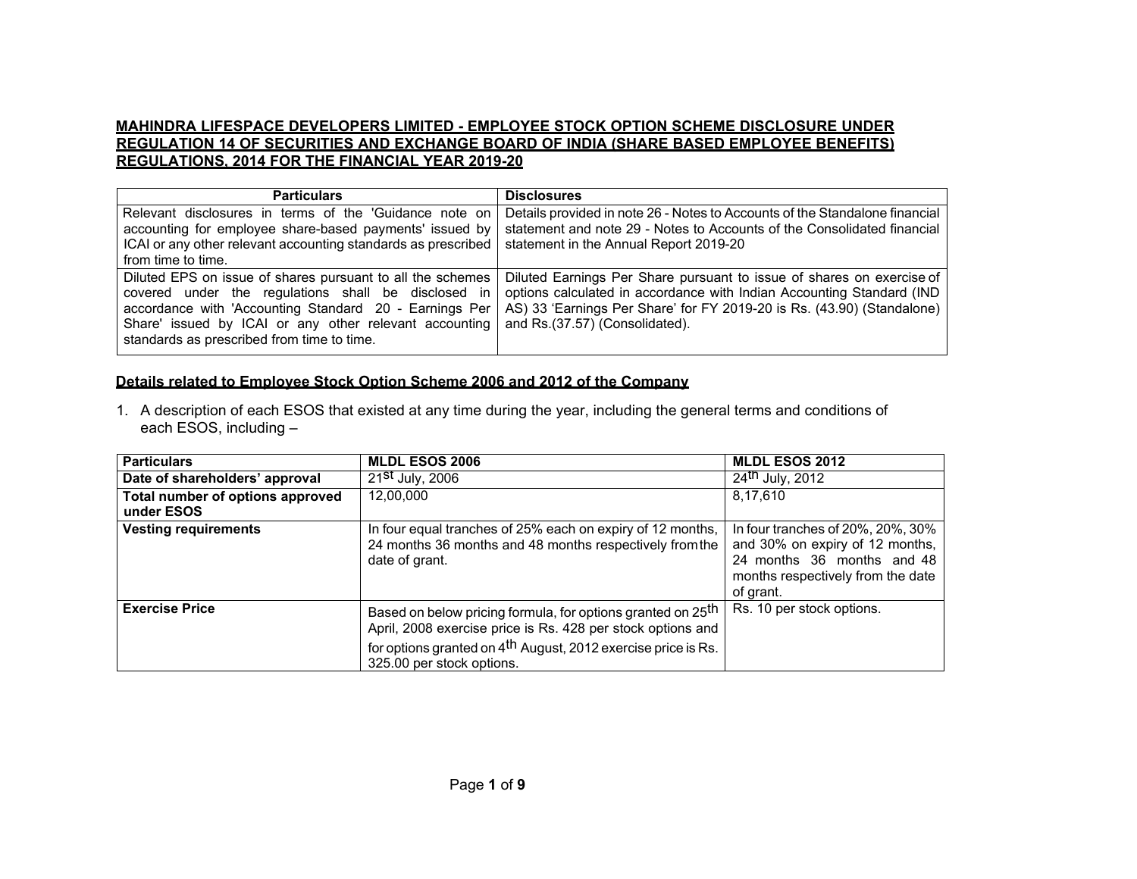#### **MAHINDRA LIFESPACE DEVELOPERS LIMITED - EMPLOYEE STOCK OPTION SCHEME DISCLOSURE UNDER REGULATION 14 OF SECURITIES AND EXCHANGE BOARD OF INDIA (SHARE BASED EMPLOYEE BENEFITS) REGULATIONS, 2014 FOR THE FINANCIAL YEAR 2019-20**

| <b>Particulars</b>                                                                                                                                                                                                                                                                  | <b>Disclosures</b>                                                                                                                                                                                                                                         |
|-------------------------------------------------------------------------------------------------------------------------------------------------------------------------------------------------------------------------------------------------------------------------------------|------------------------------------------------------------------------------------------------------------------------------------------------------------------------------------------------------------------------------------------------------------|
| Relevant disclosures in terms of the 'Guidance note on<br>accounting for employee share-based payments' issued by<br>ICAI or any other relevant accounting standards as prescribed                                                                                                  | Details provided in note 26 - Notes to Accounts of the Standalone financial<br>statement and note 29 - Notes to Accounts of the Consolidated financial<br>statement in the Annual Report 2019-20                                                           |
| from time to time.                                                                                                                                                                                                                                                                  |                                                                                                                                                                                                                                                            |
| Diluted EPS on issue of shares pursuant to all the schemes<br>covered under the regulations shall be disclosed in<br>accordance with 'Accounting Standard 20 - Earnings Per<br>Share' issued by ICAI or any other relevant accounting<br>standards as prescribed from time to time. | Diluted Earnings Per Share pursuant to issue of shares on exercise of<br>options calculated in accordance with Indian Accounting Standard (IND<br>AS) 33 'Earnings Per Share' for FY 2019-20 is Rs. (43.90) (Standalone)<br>and Rs.(37.57) (Consolidated). |

# **Details related to Employee Stock Option Scheme 2006 and 2012 of the Company**

1. A description of each ESOS that existed at any time during the year, including the general terms and conditions of each ESOS, including –

| <b>Particulars</b>                             | <b>MLDL ESOS 2006</b>                                                                                                                                                                                                                            | <b>MLDL ESOS 2012</b>                                                                                                                                |
|------------------------------------------------|--------------------------------------------------------------------------------------------------------------------------------------------------------------------------------------------------------------------------------------------------|------------------------------------------------------------------------------------------------------------------------------------------------------|
| Date of shareholders' approval                 | $21st$ July, 2006                                                                                                                                                                                                                                | $\sqrt{24}$ <sup>th</sup> July, 2012                                                                                                                 |
| Total number of options approved<br>under ESOS | 12.00.000                                                                                                                                                                                                                                        | 8,17,610                                                                                                                                             |
| <b>Vesting requirements</b>                    | In four equal tranches of 25% each on expiry of 12 months,<br>24 months 36 months and 48 months respectively from the<br>date of grant.                                                                                                          | In four tranches of 20%, 20%, 30%<br>and 30% on expiry of 12 months,<br>24 months 36 months and 48<br>months respectively from the date<br>of grant. |
| <b>Exercise Price</b>                          | Based on below pricing formula, for options granted on 25 <sup>th</sup><br>April, 2008 exercise price is Rs. 428 per stock options and<br>for options granted on $4^{\text{th}}$ August, 2012 exercise price is Rs.<br>325.00 per stock options. | Rs. 10 per stock options.                                                                                                                            |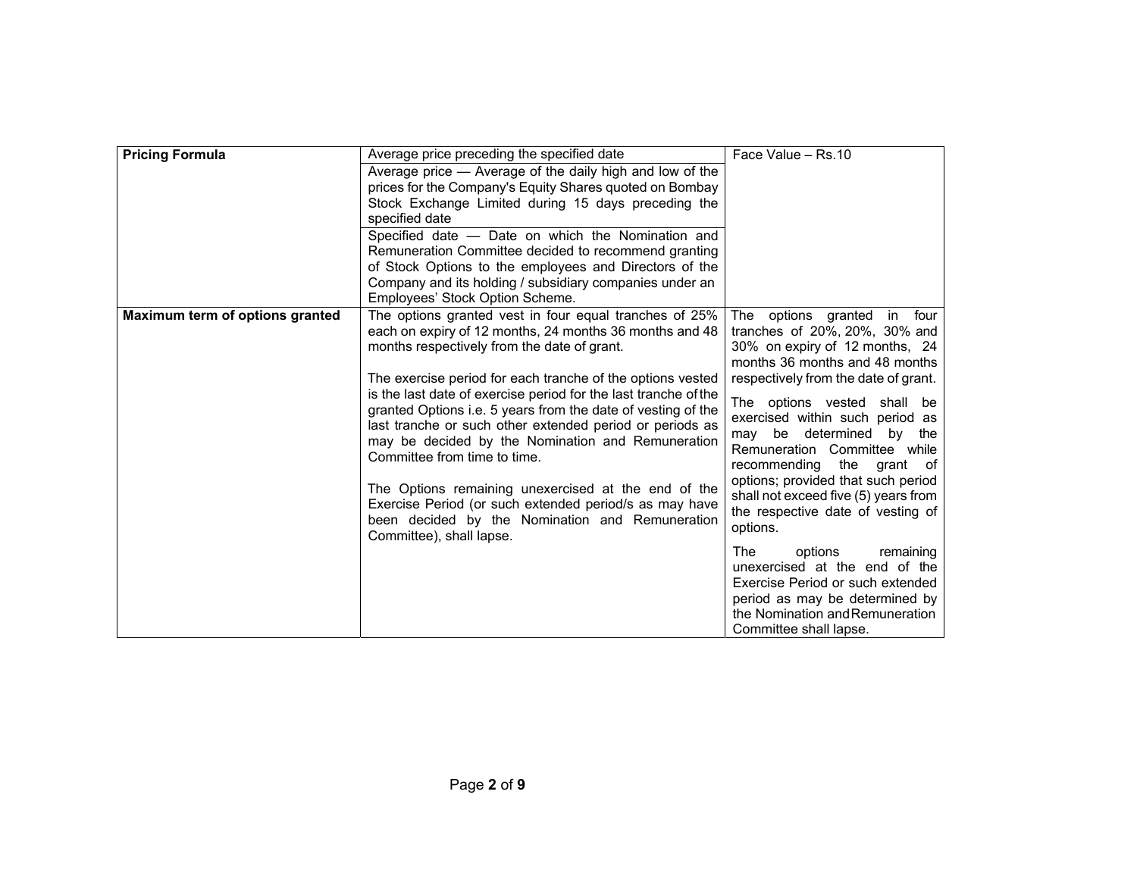| <b>Pricing Formula</b>          | Average price preceding the specified date                                                                                                                                                                                                                                                                                                                                                                                                                                                                                                                                                                                                                                                                         | Face Value - Rs.10                                                                                                                                                                                                                                                                                                                                                                                                                                                                                                                                                                                                                                                          |
|---------------------------------|--------------------------------------------------------------------------------------------------------------------------------------------------------------------------------------------------------------------------------------------------------------------------------------------------------------------------------------------------------------------------------------------------------------------------------------------------------------------------------------------------------------------------------------------------------------------------------------------------------------------------------------------------------------------------------------------------------------------|-----------------------------------------------------------------------------------------------------------------------------------------------------------------------------------------------------------------------------------------------------------------------------------------------------------------------------------------------------------------------------------------------------------------------------------------------------------------------------------------------------------------------------------------------------------------------------------------------------------------------------------------------------------------------------|
|                                 | Average price - Average of the daily high and low of the                                                                                                                                                                                                                                                                                                                                                                                                                                                                                                                                                                                                                                                           |                                                                                                                                                                                                                                                                                                                                                                                                                                                                                                                                                                                                                                                                             |
|                                 | prices for the Company's Equity Shares quoted on Bombay                                                                                                                                                                                                                                                                                                                                                                                                                                                                                                                                                                                                                                                            |                                                                                                                                                                                                                                                                                                                                                                                                                                                                                                                                                                                                                                                                             |
|                                 | Stock Exchange Limited during 15 days preceding the                                                                                                                                                                                                                                                                                                                                                                                                                                                                                                                                                                                                                                                                |                                                                                                                                                                                                                                                                                                                                                                                                                                                                                                                                                                                                                                                                             |
|                                 | specified date                                                                                                                                                                                                                                                                                                                                                                                                                                                                                                                                                                                                                                                                                                     |                                                                                                                                                                                                                                                                                                                                                                                                                                                                                                                                                                                                                                                                             |
|                                 | Specified date - Date on which the Nomination and                                                                                                                                                                                                                                                                                                                                                                                                                                                                                                                                                                                                                                                                  |                                                                                                                                                                                                                                                                                                                                                                                                                                                                                                                                                                                                                                                                             |
|                                 | Remuneration Committee decided to recommend granting                                                                                                                                                                                                                                                                                                                                                                                                                                                                                                                                                                                                                                                               |                                                                                                                                                                                                                                                                                                                                                                                                                                                                                                                                                                                                                                                                             |
|                                 | of Stock Options to the employees and Directors of the<br>Company and its holding / subsidiary companies under an                                                                                                                                                                                                                                                                                                                                                                                                                                                                                                                                                                                                  |                                                                                                                                                                                                                                                                                                                                                                                                                                                                                                                                                                                                                                                                             |
|                                 | Employees' Stock Option Scheme.                                                                                                                                                                                                                                                                                                                                                                                                                                                                                                                                                                                                                                                                                    |                                                                                                                                                                                                                                                                                                                                                                                                                                                                                                                                                                                                                                                                             |
| Maximum term of options granted | The options granted vest in four equal tranches of 25%<br>each on expiry of 12 months, 24 months 36 months and 48<br>months respectively from the date of grant.<br>The exercise period for each tranche of the options vested<br>is the last date of exercise period for the last tranche of the<br>granted Options i.e. 5 years from the date of vesting of the<br>last tranche or such other extended period or periods as<br>may be decided by the Nomination and Remuneration<br>Committee from time to time.<br>The Options remaining unexercised at the end of the<br>Exercise Period (or such extended period/s as may have<br>been decided by the Nomination and Remuneration<br>Committee), shall lapse. | The options granted<br>four<br>in<br>tranches of $20\%$ , $20\%$ , $30\%$ and<br>30% on expiry of 12 months, 24<br>months 36 months and 48 months<br>respectively from the date of grant.<br>The options vested shall be<br>exercised within such period as<br>may be determined<br>by<br>the<br>Remuneration Committee<br>while<br>recommending<br>the<br>grant of<br>options; provided that such period<br>shall not exceed five (5) years from<br>the respective date of vesting of<br>options.<br>The<br>options<br>remaining<br>unexercised at the end of the<br>Exercise Period or such extended<br>period as may be determined by<br>the Nomination and Remuneration |
|                                 |                                                                                                                                                                                                                                                                                                                                                                                                                                                                                                                                                                                                                                                                                                                    | Committee shall lapse.                                                                                                                                                                                                                                                                                                                                                                                                                                                                                                                                                                                                                                                      |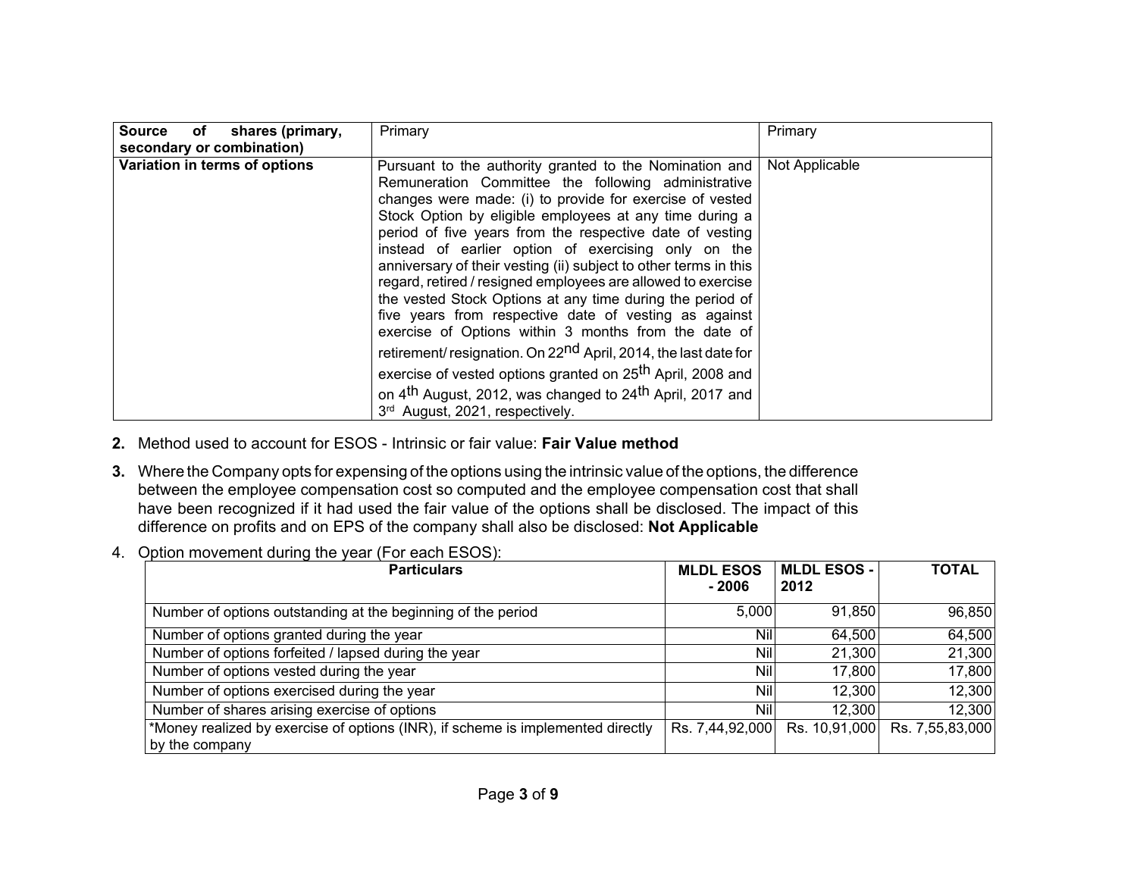| <b>Source</b><br>shares (primary,<br>of<br>secondary or combination) | Primary                                                                                                                                                                                                                                                                                                                                                                                                                                                                                                                                                                                                                                                                                                                                                                                                                                                                                                                                                    | Primary        |
|----------------------------------------------------------------------|------------------------------------------------------------------------------------------------------------------------------------------------------------------------------------------------------------------------------------------------------------------------------------------------------------------------------------------------------------------------------------------------------------------------------------------------------------------------------------------------------------------------------------------------------------------------------------------------------------------------------------------------------------------------------------------------------------------------------------------------------------------------------------------------------------------------------------------------------------------------------------------------------------------------------------------------------------|----------------|
| Variation in terms of options                                        | Pursuant to the authority granted to the Nomination and<br>Remuneration Committee the following administrative<br>changes were made: (i) to provide for exercise of vested<br>Stock Option by eligible employees at any time during a<br>period of five years from the respective date of vesting<br>instead of earlier option of exercising only on the<br>anniversary of their vesting (ii) subject to other terms in this<br>regard, retired / resigned employees are allowed to exercise<br>the vested Stock Options at any time during the period of<br>five years from respective date of vesting as against<br>exercise of Options within 3 months from the date of<br>retirement/ resignation. On 22 <sup>nd</sup> April, 2014, the last date for<br>exercise of vested options granted on 25 <sup>th</sup> April, 2008 and<br>on 4 <sup>th</sup> August, 2012, was changed to 24 <sup>th</sup> April, 2017 and<br>3rd August, 2021, respectively. | Not Applicable |

- **2.** Method used to account for ESOS Intrinsic or fair value: **Fair Value method**
- **3.** Where the Company opts for expensing of the options using the intrinsic value of the options, the difference between the employee compensation cost so computed and the employee compensation cost that shall have been recognized if it had used the fair value of the options shall be disclosed. The impact of this difference on profits and on EPS of the company shall also be disclosed: **Not Applicable**
- 4. Option movement during the year (For each ESOS):

| <b>Particulars</b>                                                                                | <b>MLDL ESOS</b><br>$-2006$ | <b>MLDL ESOS -</b><br>2012 | <b>TOTAL</b>    |
|---------------------------------------------------------------------------------------------------|-----------------------------|----------------------------|-----------------|
| Number of options outstanding at the beginning of the period                                      | 5,000                       | 91,850                     | 96,850          |
| Number of options granted during the year                                                         | Nil                         | 64,500                     | 64,500          |
| Number of options forfeited / lapsed during the year                                              | Nil                         | 21,300                     | 21,300          |
| Number of options vested during the year                                                          | Nil                         | 17,800                     | 17,800          |
| Number of options exercised during the year                                                       | Nil                         | 12,300                     | 12,300          |
| Number of shares arising exercise of options                                                      | Nil                         | 12,300                     | 12,300          |
| *Money realized by exercise of options (INR), if scheme is implemented directly<br>by the company | Rs. 7,44,92,000             | Rs. 10,91,000              | Rs. 7,55,83,000 |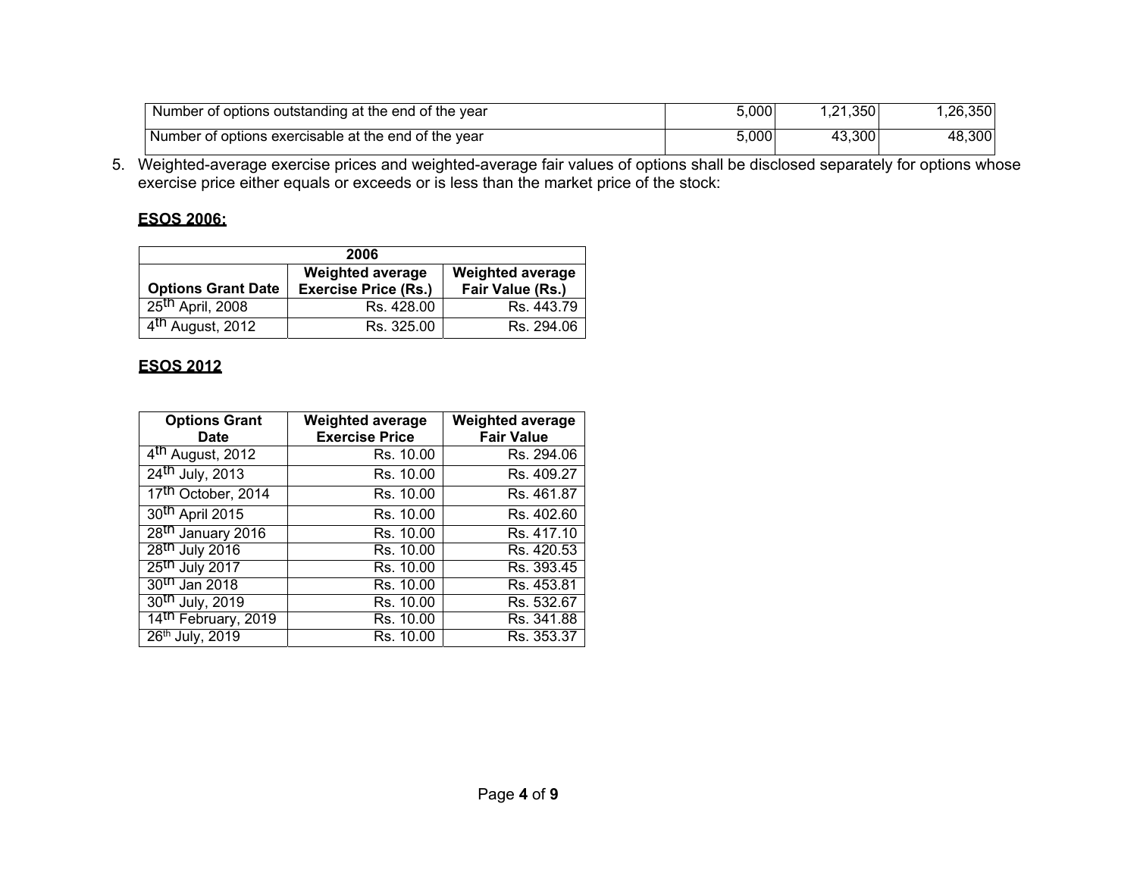| I Number of options outstanding at the end of the year | 5.000 | ,21,350 | .26.350 |
|--------------------------------------------------------|-------|---------|---------|
| Number of options exercisable at the end of the year   | 5.000 | 43,300  | 48,300  |

5. Weighted-average exercise prices and weighted-average fair values of options shall be disclosed separately for options whose exercise price either equals or exceeds or is less than the market price of the stock:

# **ESOS 2006:**

| 2006                                                                                                                               |            |            |  |  |  |
|------------------------------------------------------------------------------------------------------------------------------------|------------|------------|--|--|--|
| <b>Weighted average</b><br><b>Weighted average</b><br><b>Options Grant Date</b><br>Fair Value (Rs.)<br><b>Exercise Price (Rs.)</b> |            |            |  |  |  |
| $\sqrt{25}$ <sup>th</sup> April, 2008                                                                                              | Rs. 428.00 | Rs. 443.79 |  |  |  |
| 4 <sup>th</sup> August, 2012                                                                                                       | Rs. 325.00 | Rs. 294.06 |  |  |  |

# **ESOS 2012**

| <b>Options Grant</b><br><b>Date</b> | <b>Weighted average</b><br><b>Exercise Price</b> | <b>Weighted average</b><br><b>Fair Value</b> |
|-------------------------------------|--------------------------------------------------|----------------------------------------------|
| 4th August, 2012                    | Rs. 10.00                                        | Rs. 294.06                                   |
| 24 <sup>th</sup> July, 2013         | Rs. 10.00                                        | Rs. 409.27                                   |
| 17 <sup>th</sup> October, 2014      | Rs. 10.00                                        | Rs. 461.87                                   |
| 30 <sup>th</sup> April 2015         | Rs. 10.00                                        | Rs. 402.60                                   |
| 28 <sup>th</sup> January 2016       | Rs. 10.00                                        | Rs. 417.10                                   |
| 28 <sup>th</sup> July 2016          | Rs. 10.00                                        | Rs. 420.53                                   |
| 25 <sup>th</sup> July 2017          | Rs. 10.00                                        | Rs. 393.45                                   |
| $30^{th}$ Jan 2018                  | Rs. 10.00                                        | Rs. 453.81                                   |
| 30 <sup>th</sup> July, 2019         | Rs. 10.00                                        | Rs. 532.67                                   |
| 14 <sup>th</sup> February, 2019     | Rs. 10.00                                        | Rs. 341.88                                   |
| 26th July, 2019                     | Rs. 10.00                                        | Rs. 353.37                                   |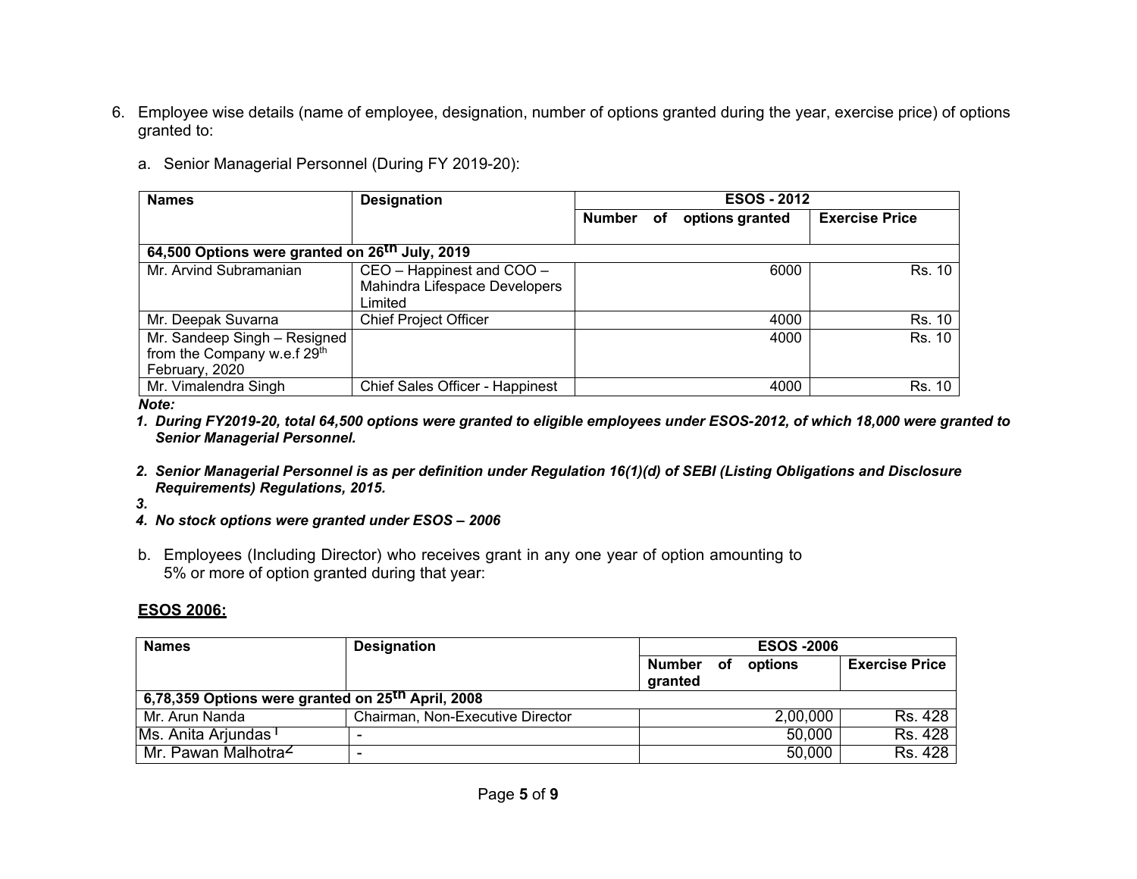- 6. Employee wise details (name of employee, designation, number of options granted during the year, exercise price) of options granted to:
	- a. Senior Managerial Personnel (During FY 2019-20):

| <b>Names</b>                                                                  | <b>Designation</b>                                                    | <b>ESOS - 2012</b> |  |                 |                       |  |
|-------------------------------------------------------------------------------|-----------------------------------------------------------------------|--------------------|--|-----------------|-----------------------|--|
|                                                                               |                                                                       | Number of          |  | options granted | <b>Exercise Price</b> |  |
| 64,500 Options were granted on 26 <sup>th</sup> July, 2019                    |                                                                       |                    |  |                 |                       |  |
| Mr. Arvind Subramanian                                                        | CEO - Happinest and COO -<br>Mahindra Lifespace Developers<br>Limited |                    |  | 6000            | Rs. 10                |  |
| Mr. Deepak Suvarna                                                            | <b>Chief Project Officer</b>                                          |                    |  | 4000            | Rs. 10                |  |
| Mr. Sandeep Singh - Resigned<br>from the Company w.e.f 29th<br>February, 2020 |                                                                       |                    |  | 4000            | <b>Rs. 10</b>         |  |
| Mr. Vimalendra Singh                                                          | <b>Chief Sales Officer - Happinest</b>                                |                    |  | 4000            | <b>Rs. 10</b>         |  |

*Note:* 

- *1. During FY2019-20, total 64,500 options were granted to eligible employees under ESOS-2012, of which 18,000 were granted to Senior Managerial Personnel.*
- *2. Senior Managerial Personnel is as per definition under Regulation 16(1)(d) of SEBI (Listing Obligations and Disclosure Requirements) Regulations, 2015.*

*3.* 

- *4. No stock options were granted under ESOS 2006*
- b. Employees (Including Director) who receives grant in any one year of option amounting to 5% or more of option granted during that year:

# **ESOS 2006:**

| <b>Names</b>                                                  | <b>Designation</b>               | <b>ESOS -2006</b> |     |          |                       |
|---------------------------------------------------------------|----------------------------------|-------------------|-----|----------|-----------------------|
|                                                               |                                  | Number<br>granted | of. | options  | <b>Exercise Price</b> |
| 6,78,359 Options were granted on 25 <sup>th</sup> April, 2008 |                                  |                   |     |          |                       |
| Mr. Arun Nanda                                                | Chairman, Non-Executive Director |                   |     | 2,00,000 | Rs. 428               |
| Ms. Anita Arjundas <sup>1</sup>                               |                                  |                   |     | 50,000   | <b>Rs. 428</b>        |
| Mr. Pawan Malhotra <sup>Z</sup>                               | $\overline{\phantom{a}}$         |                   |     | 50,000   | <b>Rs. 428</b>        |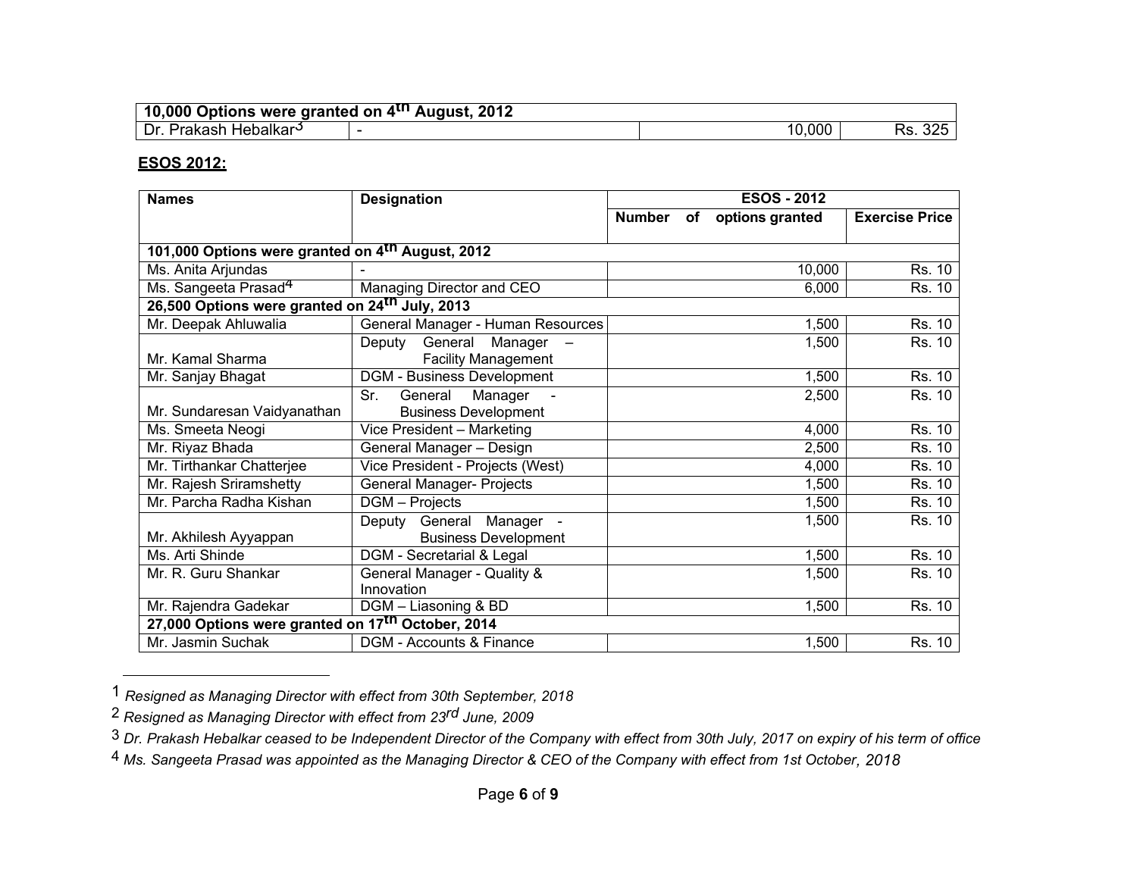| .000<br>10<br>Options<br>were granted on 4 <sup>u</sup> . | 2012<br>`August. |       |           |
|-----------------------------------------------------------|------------------|-------|-----------|
| <br>Hebalkar∹<br>- Ir<br>میں<br>nn n<br>akasr             |                  | 0,000 | 19<br>◡▵◡ |

#### **ESOS 2012:**

| <b>Names</b>                                                  | <b>Designation</b>                | <b>ESOS - 2012</b> |    |                 |                       |
|---------------------------------------------------------------|-----------------------------------|--------------------|----|-----------------|-----------------------|
|                                                               |                                   | <b>Number</b>      | of | options granted | <b>Exercise Price</b> |
|                                                               |                                   |                    |    |                 |                       |
| 101,000 Options were granted on 4th August, 2012              |                                   |                    |    |                 |                       |
| Ms. Anita Arjundas                                            |                                   |                    |    | 10,000          | Rs. 10                |
| Ms. Sangeeta Prasad <sup>4</sup>                              | Managing Director and CEO         |                    |    | 6,000           | Rs. 10                |
| 26,500 Options were granted on 24 <sup>th</sup> July, 2013    |                                   |                    |    |                 |                       |
| Mr. Deepak Ahluwalia                                          | General Manager - Human Resources |                    |    | 1,500           | Rs. 10                |
|                                                               | Deputy<br>General Manager         |                    |    | 1,500           | Rs. 10                |
| Mr. Kamal Sharma                                              | <b>Facility Management</b>        |                    |    |                 |                       |
| Mr. Sanjay Bhagat                                             | <b>DGM</b> - Business Development |                    |    | 1,500           | Rs. 10                |
|                                                               | Sr.<br>Manager<br>General         |                    |    | 2,500           | Rs. 10                |
| Mr. Sundaresan Vaidyanathan                                   | <b>Business Development</b>       |                    |    |                 |                       |
| Ms. Smeeta Neogi                                              | Vice President - Marketing        |                    |    | 4,000           | Rs. 10                |
| Mr. Riyaz Bhada                                               | General Manager - Design          |                    |    | 2,500           | Rs. 10                |
| Mr. Tirthankar Chatterjee                                     | Vice President - Projects (West)  |                    |    | 4,000           | Rs. 10                |
| Mr. Rajesh Sriramshetty                                       | General Manager- Projects         |                    |    | 1,500           | Rs. 10                |
| Mr. Parcha Radha Kishan                                       | <b>DGM</b> - Projects             |                    |    | 1,500           | Rs. 10                |
|                                                               | General<br>Manager -<br>Deputy    |                    |    | 1,500           | Rs. 10                |
| Mr. Akhilesh Ayyappan                                         | <b>Business Development</b>       |                    |    |                 |                       |
| Ms. Arti Shinde                                               | <b>DGM</b> - Secretarial & Legal  |                    |    | 1,500           | Rs. 10                |
| Mr. R. Guru Shankar                                           | General Manager - Quality &       |                    |    | 1,500           | Rs. 10                |
|                                                               | Innovation                        |                    |    |                 |                       |
| Mr. Rajendra Gadekar                                          | DGM - Liasoning & BD              |                    |    | 1,500           | Rs. 10                |
| 27,000 Options were granted on 17 <sup>th</sup> October, 2014 |                                   |                    |    |                 |                       |
| Mr. Jasmin Suchak                                             | DGM - Accounts & Finance          |                    |    | 1,500           | Rs. 10                |

<sup>1</sup>*Resigned as Managing Director with effect from 30th September, 2018* 

<sup>2</sup>*Resigned as Managing Director with effect from 23rd June, 2009* 

<sup>3</sup>*Dr. Prakash Hebalkar ceased to be Independent Director of the Company with effect from 30th July, 2017 on expiry of his term of office* 

<sup>4</sup>*Ms. Sangeeta Prasad was appointed as the Managing Director & CEO of the Company with effect from 1st October, 2018*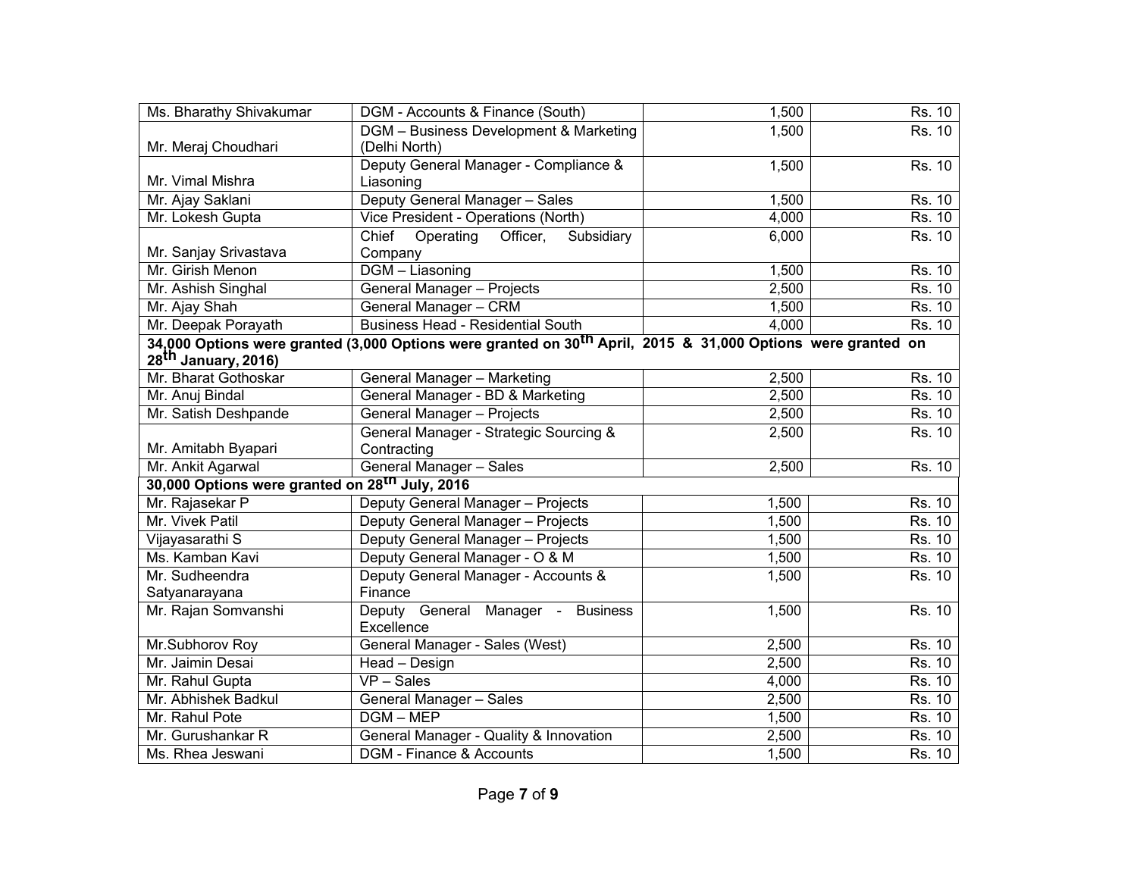| Ms. Bharathy Shivakumar                                                                                                  | DGM - Accounts & Finance (South)                             | 1,500 | <b>Rs. 10</b> |  |  |  |  |  |
|--------------------------------------------------------------------------------------------------------------------------|--------------------------------------------------------------|-------|---------------|--|--|--|--|--|
|                                                                                                                          | DGM - Business Development & Marketing                       | 1,500 | <b>Rs. 10</b> |  |  |  |  |  |
| Mr. Meraj Choudhari                                                                                                      | (Delhi North)                                                |       |               |  |  |  |  |  |
|                                                                                                                          | Deputy General Manager - Compliance &                        | 1,500 | Rs. 10        |  |  |  |  |  |
| Mr. Vimal Mishra                                                                                                         | Liasoning                                                    |       |               |  |  |  |  |  |
| Mr. Ajay Saklani                                                                                                         | Deputy General Manager - Sales                               | 1,500 | Rs. 10        |  |  |  |  |  |
| Mr. Lokesh Gupta                                                                                                         | Vice President - Operations (North)                          | 4,000 | Rs. 10        |  |  |  |  |  |
|                                                                                                                          | Chief Operating<br>Officer,<br>Subsidiary                    | 6,000 | Rs. 10        |  |  |  |  |  |
| Mr. Sanjay Srivastava                                                                                                    | Company                                                      |       |               |  |  |  |  |  |
| Mr. Girish Menon                                                                                                         | DGM - Liasoning                                              | 1,500 | Rs. 10        |  |  |  |  |  |
| Mr. Ashish Singhal                                                                                                       | <b>General Manager - Projects</b>                            | 2,500 | <b>Rs. 10</b> |  |  |  |  |  |
| Mr. Ajay Shah                                                                                                            | <b>General Manager - CRM</b>                                 | 1,500 | <b>Rs. 10</b> |  |  |  |  |  |
| Mr. Deepak Porayath                                                                                                      | <b>Business Head - Residential South</b>                     | 4,000 | Rs. 10        |  |  |  |  |  |
| 34,000 Options were granted (3,000 Options were granted on 30 <sup>th</sup> April, 2015 & 31,000 Options were granted on |                                                              |       |               |  |  |  |  |  |
| 28 <sup>th</sup> January, 2016)                                                                                          |                                                              |       |               |  |  |  |  |  |
| Mr. Bharat Gothoskar                                                                                                     | <b>General Manager - Marketing</b>                           | 2,500 | Rs. 10        |  |  |  |  |  |
| Mr. Anuj Bindal                                                                                                          | General Manager - BD & Marketing                             | 2,500 | <b>Rs. 10</b> |  |  |  |  |  |
| Mr. Satish Deshpande                                                                                                     | General Manager - Projects                                   | 2,500 | <b>Rs. 10</b> |  |  |  |  |  |
|                                                                                                                          | General Manager - Strategic Sourcing &                       | 2,500 | <b>Rs. 10</b> |  |  |  |  |  |
| Mr. Amitabh Byapari                                                                                                      | Contracting                                                  |       | Rs. 10        |  |  |  |  |  |
|                                                                                                                          | Mr. Ankit Agarwal<br><b>General Manager - Sales</b><br>2,500 |       |               |  |  |  |  |  |
| 30,000 Options were granted on 28 <sup>th</sup> July, 2016                                                               |                                                              |       |               |  |  |  |  |  |
| Mr. Rajasekar P                                                                                                          | Deputy General Manager - Projects                            | 1,500 | Rs. 10        |  |  |  |  |  |
| Mr. Vivek Patil                                                                                                          | Deputy General Manager - Projects                            | 1,500 | Rs. 10        |  |  |  |  |  |
| Vijayasarathi S                                                                                                          | Deputy General Manager - Projects                            | 1,500 | <b>Rs. 10</b> |  |  |  |  |  |
| Ms. Kamban Kavi                                                                                                          | Deputy General Manager - O & M                               | 1,500 | <b>Rs. 10</b> |  |  |  |  |  |
| Mr. Sudheendra                                                                                                           | Deputy General Manager - Accounts &                          | 1,500 | Rs. 10        |  |  |  |  |  |
| Satyanarayana                                                                                                            | Finance                                                      |       |               |  |  |  |  |  |
| Mr. Rajan Somvanshi                                                                                                      | Deputy General Manager - Business                            | 1,500 | Rs. 10        |  |  |  |  |  |
|                                                                                                                          | Excellence                                                   |       |               |  |  |  |  |  |
| Mr.Subhorov Roy                                                                                                          | General Manager - Sales (West)                               | 2,500 | Rs. 10        |  |  |  |  |  |
| Mr. Jaimin Desai                                                                                                         | Head - Design                                                | 2,500 | Rs. 10        |  |  |  |  |  |
| Mr. Rahul Gupta                                                                                                          | $VP - Sales$                                                 | 4,000 | <b>Rs. 10</b> |  |  |  |  |  |
| Mr. Abhishek Badkul                                                                                                      | General Manager - Sales                                      | 2,500 | Rs. 10        |  |  |  |  |  |
| Mr. Rahul Pote                                                                                                           | DGM-MEP                                                      | 1,500 | <b>Rs. 10</b> |  |  |  |  |  |
| Mr. Gurushankar R                                                                                                        | General Manager - Quality & Innovation                       | 2,500 | Rs. 10        |  |  |  |  |  |
| Ms. Rhea Jeswani                                                                                                         | <b>DGM</b> - Finance & Accounts                              | 1,500 | <b>Rs. 10</b> |  |  |  |  |  |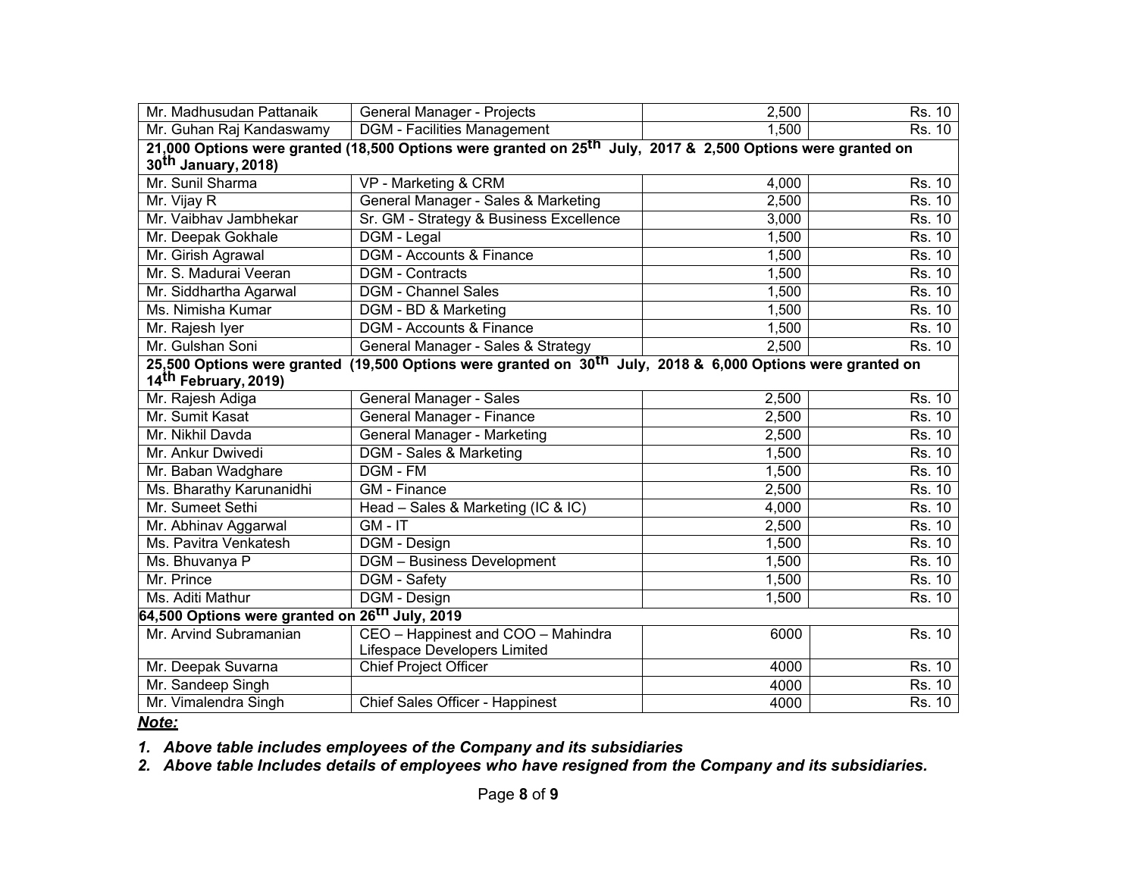| Mr. Madhusudan Pattanaik                                                                                                                                    | General Manager - Projects                                         | 2,500 | Rs. 10                        |  |  |  |  |  |
|-------------------------------------------------------------------------------------------------------------------------------------------------------------|--------------------------------------------------------------------|-------|-------------------------------|--|--|--|--|--|
| Mr. Guhan Raj Kandaswamy                                                                                                                                    | <b>DGM - Facilities Management</b>                                 | 1,500 | Rs. 10                        |  |  |  |  |  |
| 21,000 Options were granted (18,500 Options were granted on 25 <sup>th</sup> July, 2017 & 2,500 Options were granted on<br>30 <sup>th</sup> January, 2018)  |                                                                    |       |                               |  |  |  |  |  |
| Mr. Sunil Sharma                                                                                                                                            | VP - Marketing & CRM                                               | 4,000 | Rs. 10                        |  |  |  |  |  |
| Mr. Vijay R                                                                                                                                                 | General Manager - Sales & Marketing                                | 2,500 | Rs. 10                        |  |  |  |  |  |
| Mr. Vaibhay Jambhekar                                                                                                                                       | Sr. GM - Strategy & Business Excellence                            | 3,000 | <b>Rs. 10</b>                 |  |  |  |  |  |
| Mr. Deepak Gokhale                                                                                                                                          | DGM - Legal                                                        | 1,500 | Rs. 10                        |  |  |  |  |  |
| Mr. Girish Agrawal                                                                                                                                          | <b>DGM - Accounts &amp; Finance</b>                                | 1,500 | Rs. 10                        |  |  |  |  |  |
| Mr. S. Madurai Veeran                                                                                                                                       | <b>DGM - Contracts</b>                                             | 1,500 | <b>Rs. 10</b>                 |  |  |  |  |  |
| Mr. Siddhartha Agarwal                                                                                                                                      | <b>DGM - Channel Sales</b>                                         | 1,500 | Rs. 10                        |  |  |  |  |  |
| Ms. Nimisha Kumar                                                                                                                                           | DGM - BD & Marketing                                               | 1,500 | Rs. 10                        |  |  |  |  |  |
| Mr. Rajesh Iyer                                                                                                                                             | <b>DGM - Accounts &amp; Finance</b>                                | 1,500 | $\overline{\mathsf{Rs}}$ . 10 |  |  |  |  |  |
| Mr. Gulshan Soni                                                                                                                                            | General Manager - Sales & Strategy                                 | 2,500 | Rs. 10                        |  |  |  |  |  |
| 25,500 Options were granted (19,500 Options were granted on 30 <sup>th</sup> July, 2018 & 6,000 Options were granted on<br>14 <sup>th</sup> February, 2019) |                                                                    |       |                               |  |  |  |  |  |
| Mr. Rajesh Adiga                                                                                                                                            | General Manager - Sales                                            | 2,500 | Rs. 10                        |  |  |  |  |  |
| Mr. Sumit Kasat                                                                                                                                             | General Manager - Finance                                          | 2,500 | Rs. 10                        |  |  |  |  |  |
| Mr. Nikhil Davda                                                                                                                                            | General Manager - Marketing                                        | 2,500 | Rs. 10                        |  |  |  |  |  |
| Mr. Ankur Dwivedi                                                                                                                                           | DGM - Sales & Marketing                                            | 1,500 | Rs. 10                        |  |  |  |  |  |
| Mr. Baban Wadghare                                                                                                                                          | DGM - FM                                                           | 1,500 | Rs. 10                        |  |  |  |  |  |
| Ms. Bharathy Karunanidhi                                                                                                                                    | GM - Finance                                                       | 2,500 | Rs. 10                        |  |  |  |  |  |
| Mr. Sumeet Sethi                                                                                                                                            | Head - Sales & Marketing (IC & IC)                                 | 4,000 | <b>Rs. 10</b>                 |  |  |  |  |  |
| Mr. Abhinav Aggarwal                                                                                                                                        | $GM - IT$                                                          | 2,500 | Rs. 10                        |  |  |  |  |  |
| Ms. Pavitra Venkatesh                                                                                                                                       | DGM - Design                                                       | 1,500 | Rs. 10                        |  |  |  |  |  |
| Ms. Bhuvanya P                                                                                                                                              | <b>DGM</b> - Business Development                                  | 1,500 | Rs. 10                        |  |  |  |  |  |
| Mr. Prince                                                                                                                                                  | DGM - Safety                                                       | 1,500 | Rs. 10                        |  |  |  |  |  |
| Ms. Aditi Mathur                                                                                                                                            | DGM - Design                                                       | 1,500 | Rs. 10                        |  |  |  |  |  |
| 64,500 Options were granted on 26 <sup>th</sup> July, 2019                                                                                                  |                                                                    |       |                               |  |  |  |  |  |
| Mr. Arvind Subramanian                                                                                                                                      | CEO - Happinest and COO - Mahindra<br>Lifespace Developers Limited | 6000  | Rs. 10                        |  |  |  |  |  |
| Mr. Deepak Suvarna                                                                                                                                          | <b>Chief Project Officer</b>                                       | 4000  | Rs. 10                        |  |  |  |  |  |
| Mr. Sandeep Singh                                                                                                                                           |                                                                    | 4000  | Rs. 10                        |  |  |  |  |  |
| Mr. Vimalendra Singh                                                                                                                                        | Chief Sales Officer - Happinest                                    | 4000  | Rs. 10                        |  |  |  |  |  |

#### *Note:*

*1. Above table includes employees of the Company and its subsidiaries* 

*2. Above table Includes details of employees who have resigned from the Company and its subsidiaries.*